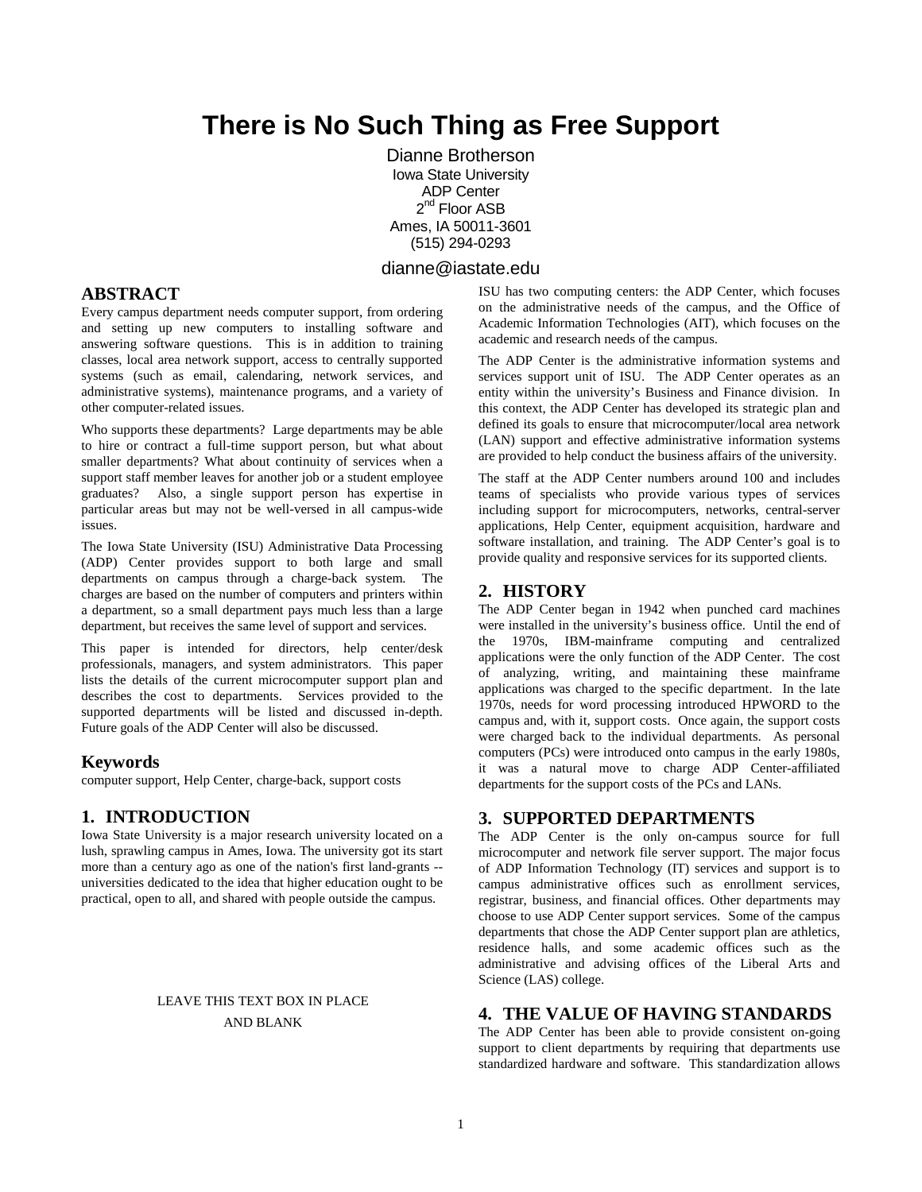# **There is No Such Thing as Free Support**

Dianne Brotherson Iowa State University ADP Center 2<sup>nd</sup> Floor ASB Ames, IA 50011-3601 (515) 294-0293

## dianne@iastate.edu

## **ABSTRACT**

Every campus department needs computer support, from ordering and setting up new computers to installing software and answering software questions. This is in addition to training classes, local area network support, access to centrally supported systems (such as email, calendaring, network services, and administrative systems), maintenance programs, and a variety of other computer-related issues.

Who supports these departments? Large departments may be able to hire or contract a full-time support person, but what about smaller departments? What about continuity of services when a support staff member leaves for another job or a student employee graduates? Also, a single support person has expertise in particular areas but may not be well-versed in all campus-wide issues.

The Iowa State University (ISU) Administrative Data Processing (ADP) Center provides support to both large and small departments on campus through a charge-back system. The charges are based on the number of computers and printers within a department, so a small department pays much less than a large department, but receives the same level of support and services.

This paper is intended for directors, help center/desk professionals, managers, and system administrators. This paper lists the details of the current microcomputer support plan and describes the cost to departments. Services provided to the supported departments will be listed and discussed in-depth. Future goals of the ADP Center will also be discussed.

#### **Keywords**

computer support, Help Center, charge-back, support costs

## **1. INTRODUCTION**

Iowa State University is a major research university located on a lush, sprawling campus in Ames, Iowa. The university got its start more than a century ago as one of the nation's first land-grants - universities dedicated to the idea that higher education ought to be practical, open to all, and shared with people outside the campus.

## LEAVE THIS TEXT BOX IN PLACE AND BLANK

ISU has two computing centers: the ADP Center, which focuses on the administrative needs of the campus, and the Office of Academic Information Technologies (AIT), which focuses on the academic and research needs of the campus.

The ADP Center is the administrative information systems and services support unit of ISU. The ADP Center operates as an entity within the university's Business and Finance division. In this context, the ADP Center has developed its strategic plan and defined its goals to ensure that microcomputer/local area network (LAN) support and effective administrative information systems are provided to help conduct the business affairs of the university.

The staff at the ADP Center numbers around 100 and includes teams of specialists who provide various types of services including support for microcomputers, networks, central-server applications, Help Center, equipment acquisition, hardware and software installation, and training. The ADP Center's goal is to provide quality and responsive services for its supported clients.

## **2. HISTORY**

The ADP Center began in 1942 when punched card machines were installed in the university's business office. Until the end of the 1970s, IBM-mainframe computing and centralized applications were the only function of the ADP Center. The cost of analyzing, writing, and maintaining these mainframe applications was charged to the specific department. In the late 1970s, needs for word processing introduced HPWORD to the campus and, with it, support costs. Once again, the support costs were charged back to the individual departments. As personal computers (PCs) were introduced onto campus in the early 1980s, it was a natural move to charge ADP Center-affiliated departments for the support costs of the PCs and LANs.

## **3. SUPPORTED DEPARTMENTS**

The ADP Center is the only on-campus source for full microcomputer and network file server support. The major focus of ADP Information Technology (IT) services and support is to campus administrative offices such as enrollment services, registrar, business, and financial offices. Other departments may choose to use ADP Center support services. Some of the campus departments that chose the ADP Center support plan are athletics, residence halls, and some academic offices such as the administrative and advising offices of the Liberal Arts and Science (LAS) college.

## **4. THE VALUE OF HAVING STANDARDS**

The ADP Center has been able to provide consistent on-going support to client departments by requiring that departments use standardized hardware and software. This standardization allows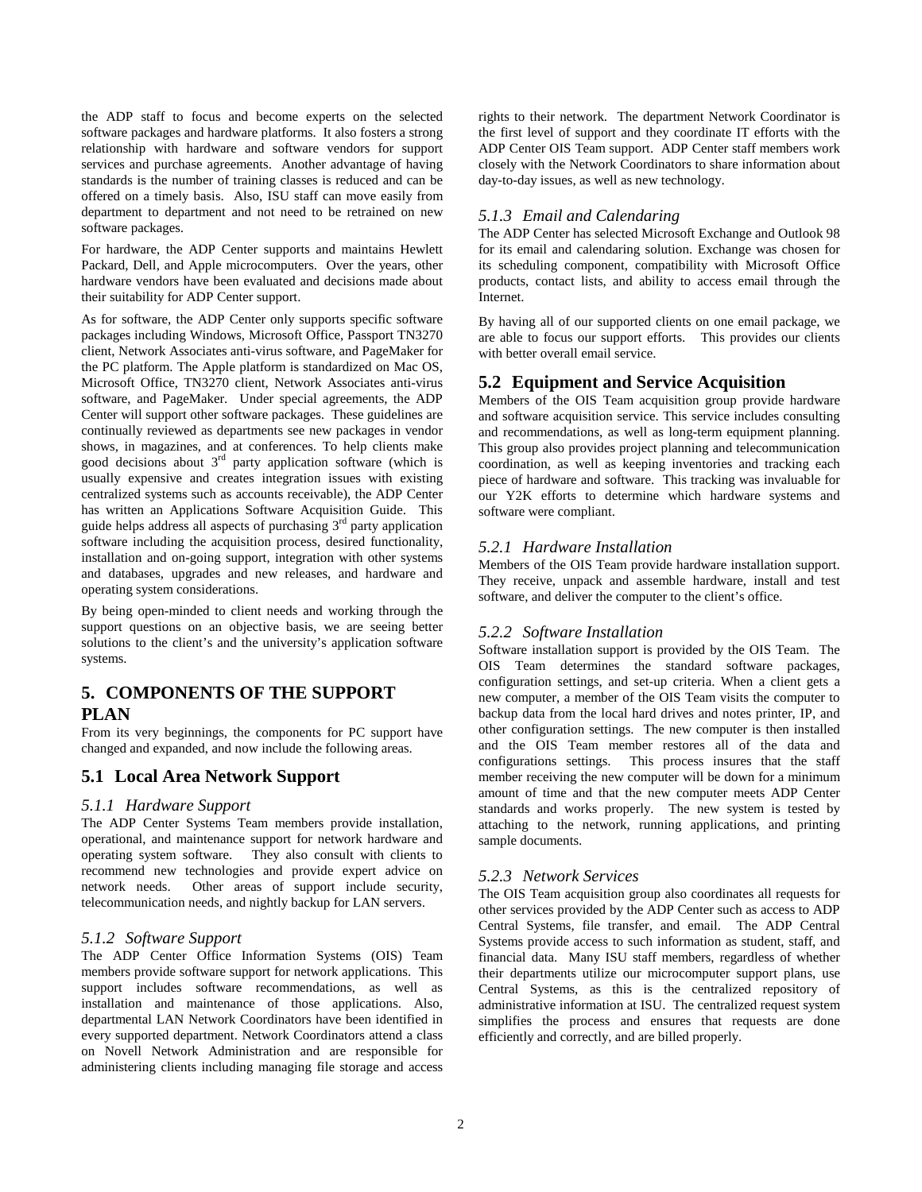the ADP staff to focus and become experts on the selected software packages and hardware platforms. It also fosters a strong relationship with hardware and software vendors for support services and purchase agreements. Another advantage of having standards is the number of training classes is reduced and can be offered on a timely basis. Also, ISU staff can move easily from department to department and not need to be retrained on new software packages.

For hardware, the ADP Center supports and maintains Hewlett Packard, Dell, and Apple microcomputers. Over the years, other hardware vendors have been evaluated and decisions made about their suitability for ADP Center support.

As for software, the ADP Center only supports specific software packages including Windows, Microsoft Office, Passport TN3270 client, Network Associates anti-virus software, and PageMaker for the PC platform. The Apple platform is standardized on Mac OS, Microsoft Office, TN3270 client, Network Associates anti-virus software, and PageMaker. Under special agreements, the ADP Center will support other software packages. These guidelines are continually reviewed as departments see new packages in vendor shows, in magazines, and at conferences. To help clients make good decisions about 3rd party application software (which is usually expensive and creates integration issues with existing centralized systems such as accounts receivable), the ADP Center has written an Applications Software Acquisition Guide. This guide helps address all aspects of purchasing  $3<sup>rd</sup>$  party application software including the acquisition process, desired functionality, installation and on-going support, integration with other systems and databases, upgrades and new releases, and hardware and operating system considerations.

By being open-minded to client needs and working through the support questions on an objective basis, we are seeing better solutions to the client's and the university's application software systems.

# **5. COMPONENTS OF THE SUPPORT PLAN**

From its very beginnings, the components for PC support have changed and expanded, and now include the following areas.

## **5.1 Local Area Network Support**

#### *5.1.1 Hardware Support*

The ADP Center Systems Team members provide installation, operational, and maintenance support for network hardware and operating system software. They also consult with clients to recommend new technologies and provide expert advice on network needs. Other areas of support include security, telecommunication needs, and nightly backup for LAN servers.

#### *5.1.2 Software Support*

The ADP Center Office Information Systems (OIS) Team members provide software support for network applications. This support includes software recommendations, as well as installation and maintenance of those applications. Also, departmental LAN Network Coordinators have been identified in every supported department. Network Coordinators attend a class on Novell Network Administration and are responsible for administering clients including managing file storage and access rights to their network. The department Network Coordinator is the first level of support and they coordinate IT efforts with the ADP Center OIS Team support. ADP Center staff members work closely with the Network Coordinators to share information about day-to-day issues, as well as new technology.

## *5.1.3 Email and Calendaring*

The ADP Center has selected Microsoft Exchange and Outlook 98 for its email and calendaring solution. Exchange was chosen for its scheduling component, compatibility with Microsoft Office products, contact lists, and ability to access email through the Internet.

By having all of our supported clients on one email package, we are able to focus our support efforts. This provides our clients with better overall email service.

## **5.2 Equipment and Service Acquisition**

Members of the OIS Team acquisition group provide hardware and software acquisition service. This service includes consulting and recommendations, as well as long-term equipment planning. This group also provides project planning and telecommunication coordination, as well as keeping inventories and tracking each piece of hardware and software. This tracking was invaluable for our Y2K efforts to determine which hardware systems and software were compliant.

## *5.2.1 Hardware Installation*

Members of the OIS Team provide hardware installation support. They receive, unpack and assemble hardware, install and test software, and deliver the computer to the client's office.

## *5.2.2 Software Installation*

Software installation support is provided by the OIS Team. The OIS Team determines the standard software packages, configuration settings, and set-up criteria. When a client gets a new computer, a member of the OIS Team visits the computer to backup data from the local hard drives and notes printer, IP, and other configuration settings. The new computer is then installed and the OIS Team member restores all of the data and configurations settings. This process insures that the staff member receiving the new computer will be down for a minimum amount of time and that the new computer meets ADP Center standards and works properly. The new system is tested by attaching to the network, running applications, and printing sample documents.

#### *5.2.3 Network Services*

The OIS Team acquisition group also coordinates all requests for other services provided by the ADP Center such as access to ADP Central Systems, file transfer, and email. The ADP Central Systems provide access to such information as student, staff, and financial data. Many ISU staff members, regardless of whether their departments utilize our microcomputer support plans, use Central Systems, as this is the centralized repository of administrative information at ISU. The centralized request system simplifies the process and ensures that requests are done efficiently and correctly, and are billed properly.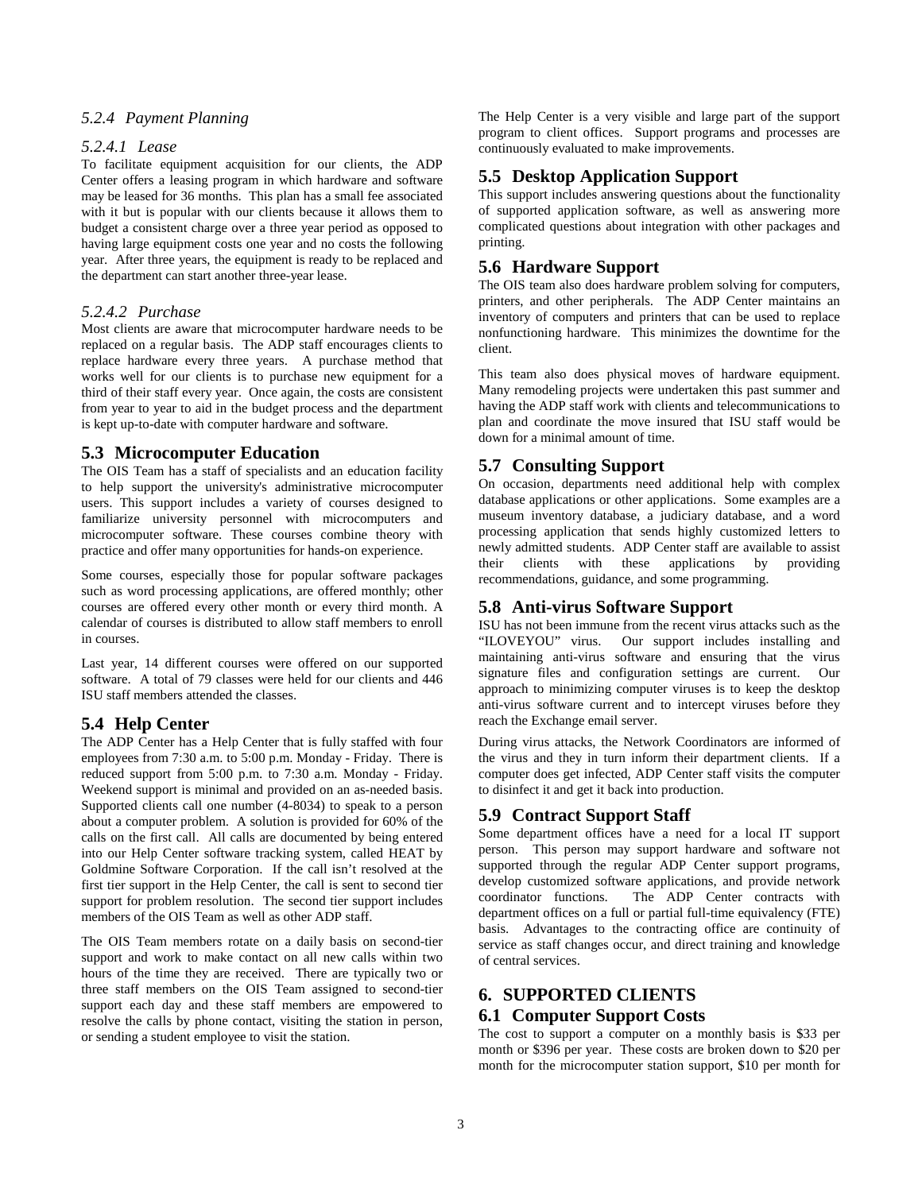## *5.2.4 Payment Planning*

#### *5.2.4.1 Lease*

To facilitate equipment acquisition for our clients, the ADP Center offers a leasing program in which hardware and software may be leased for 36 months. This plan has a small fee associated with it but is popular with our clients because it allows them to budget a consistent charge over a three year period as opposed to having large equipment costs one year and no costs the following year. After three years, the equipment is ready to be replaced and the department can start another three-year lease.

#### *5.2.4.2 Purchase*

Most clients are aware that microcomputer hardware needs to be replaced on a regular basis. The ADP staff encourages clients to replace hardware every three years. A purchase method that works well for our clients is to purchase new equipment for a third of their staff every year. Once again, the costs are consistent from year to year to aid in the budget process and the department is kept up-to-date with computer hardware and software.

#### **5.3 Microcomputer Education**

The OIS Team has a staff of specialists and an education facility to help support the university's administrative microcomputer users. This support includes a variety of courses designed to familiarize university personnel with microcomputers and microcomputer software. These courses combine theory with practice and offer many opportunities for hands-on experience.

Some courses, especially those for popular software packages such as word processing applications, are offered monthly; other courses are offered every other month or every third month. A calendar of courses is distributed to allow staff members to enroll in courses.

Last year, 14 different courses were offered on our supported software. A total of 79 classes were held for our clients and 446 ISU staff members attended the classes.

### **5.4 Help Center**

The ADP Center has a Help Center that is fully staffed with four employees from 7:30 a.m. to 5:00 p.m. Monday - Friday. There is reduced support from 5:00 p.m. to 7:30 a.m. Monday - Friday. Weekend support is minimal and provided on an as-needed basis. Supported clients call one number (4-8034) to speak to a person about a computer problem. A solution is provided for 60% of the calls on the first call. All calls are documented by being entered into our Help Center software tracking system, called HEAT by Goldmine Software Corporation. If the call isn't resolved at the first tier support in the Help Center, the call is sent to second tier support for problem resolution. The second tier support includes members of the OIS Team as well as other ADP staff.

The OIS Team members rotate on a daily basis on second-tier support and work to make contact on all new calls within two hours of the time they are received. There are typically two or three staff members on the OIS Team assigned to second-tier support each day and these staff members are empowered to resolve the calls by phone contact, visiting the station in person, or sending a student employee to visit the station.

The Help Center is a very visible and large part of the support program to client offices. Support programs and processes are continuously evaluated to make improvements.

#### **5.5 Desktop Application Support**

This support includes answering questions about the functionality of supported application software, as well as answering more complicated questions about integration with other packages and printing.

#### **5.6 Hardware Support**

The OIS team also does hardware problem solving for computers, printers, and other peripherals. The ADP Center maintains an inventory of computers and printers that can be used to replace nonfunctioning hardware. This minimizes the downtime for the client.

This team also does physical moves of hardware equipment. Many remodeling projects were undertaken this past summer and having the ADP staff work with clients and telecommunications to plan and coordinate the move insured that ISU staff would be down for a minimal amount of time.

#### **5.7 Consulting Support**

On occasion, departments need additional help with complex database applications or other applications. Some examples are a museum inventory database, a judiciary database, and a word processing application that sends highly customized letters to newly admitted students. ADP Center staff are available to assist their clients with these applications by providing recommendations, guidance, and some programming.

## **5.8 Anti-virus Software Support**

ISU has not been immune from the recent virus attacks such as the "ILOVEYOU" virus. Our support includes installing and maintaining anti-virus software and ensuring that the virus signature files and configuration settings are current. Our approach to minimizing computer viruses is to keep the desktop anti-virus software current and to intercept viruses before they reach the Exchange email server.

During virus attacks, the Network Coordinators are informed of the virus and they in turn inform their department clients. If a computer does get infected, ADP Center staff visits the computer to disinfect it and get it back into production.

#### **5.9 Contract Support Staff**

Some department offices have a need for a local IT support person. This person may support hardware and software not supported through the regular ADP Center support programs, develop customized software applications, and provide network coordinator functions. The ADP Center contracts with department offices on a full or partial full-time equivalency (FTE) basis. Advantages to the contracting office are continuity of service as staff changes occur, and direct training and knowledge of central services.

#### **6. SUPPORTED CLIENTS**

#### **6.1 Computer Support Costs**

The cost to support a computer on a monthly basis is \$33 per month or \$396 per year. These costs are broken down to \$20 per month for the microcomputer station support, \$10 per month for